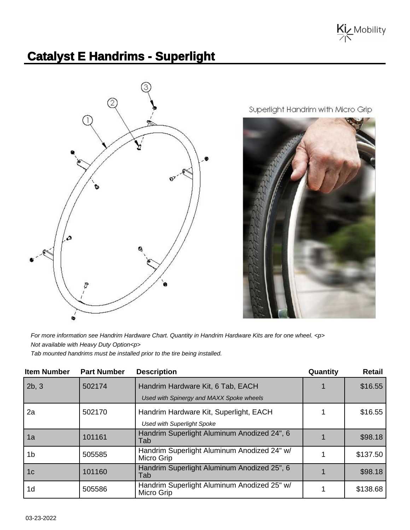

## **Catalyst E Handrims - Superlight**



Superlight Handrim with Micro Grip



For more information see Handrim Hardware Chart. Quantity in Handrim Hardware Kits are for one wheel. <p> Not available with Heavy Duty Option<p> Tab mounted handrims must be installed prior to the tire being installed.

| <b>Item Number</b> | <b>Part Number</b> | <b>Description</b>                                                            | Quantity | <b>Retail</b> |
|--------------------|--------------------|-------------------------------------------------------------------------------|----------|---------------|
| 2b, 3              | 502174             | Handrim Hardware Kit, 6 Tab, EACH<br>Used with Spinergy and MAXX Spoke wheels |          | \$16.55       |
|                    |                    |                                                                               |          |               |
| 2a                 | 502170             | Handrim Hardware Kit, Superlight, EACH                                        |          | \$16.55       |
|                    |                    | <b>Used with Superlight Spoke</b>                                             |          |               |
| 1a                 | 101161             | Handrim Superlight Aluminum Anodized 24", 6<br>Tab                            |          | \$98.18       |
| 1b                 | 505585             | Handrim Superlight Aluminum Anodized 24" w/<br>Micro Grip                     |          | \$137.50      |
| 1 <sub>c</sub>     | 101160             | Handrim Superlight Aluminum Anodized 25", 6<br>Tab                            |          | \$98.18       |
| 1 <sub>d</sub>     | 505586             | Handrim Superlight Aluminum Anodized 25" w/<br>Micro Grip                     |          | \$138.68      |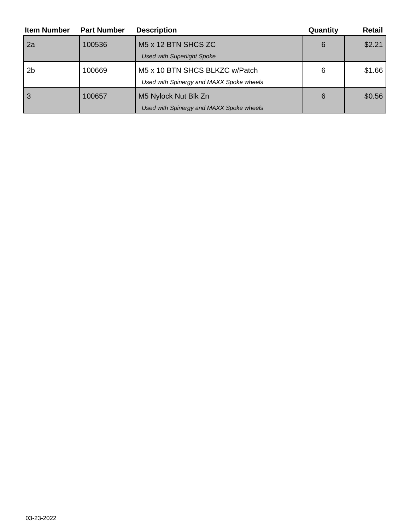| <b>Item Number</b> | <b>Part Number</b> | <b>Description</b>                       | Quantity | Retail |
|--------------------|--------------------|------------------------------------------|----------|--------|
| 2a                 | 100536             | M <sub>5</sub> x 12 BTN SHCS ZC          | 6        | \$2.21 |
|                    |                    | <b>Used with Superlight Spoke</b>        |          |        |
| 2 <sub>b</sub>     | 100669             | M5 x 10 BTN SHCS BLKZC w/Patch           | 6        | \$1.66 |
|                    |                    | Used with Spinergy and MAXX Spoke wheels |          |        |
|                    | 100657             | M5 Nylock Nut Blk Zn                     | 6        | \$0.56 |
|                    |                    | Used with Spinergy and MAXX Spoke wheels |          |        |